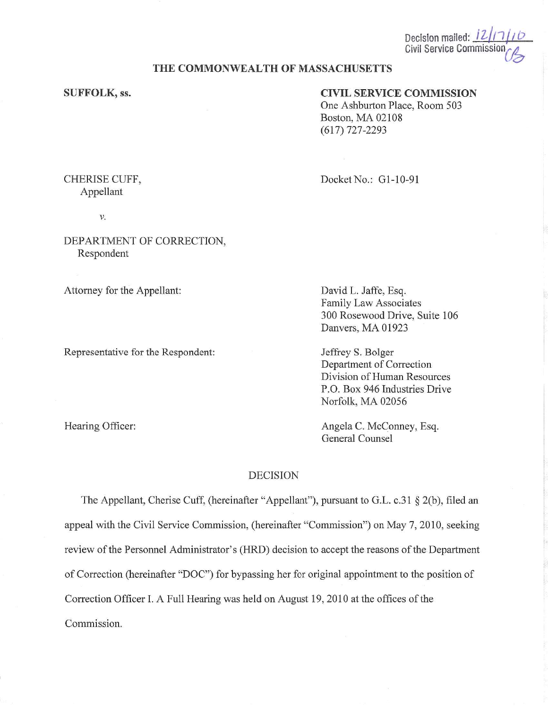Decision mailed: 12 Civil Service Commiss

### **THE COMMONWEALTH OF MASSACHUSETTS**

## **SUFFOLK, ss.**

# **CIVIL SERVICE COMMISSION**

One Ashburton Place, Room 503 Boston, MA 02108 (617) 727-2293

CHERISE CUFF, Appellant

V.

DEPARTMENT OF CORRECTION, Respondent

Attorney for the Appellant:

Representative for the Respondent:

Hearing Officer:

Docket No.: G1-10-91

David L. Jaffe, Esq. Family Law Associates 300 Rosewood Drive, Suite 106 Danvers, MA 01923

Jeffrey S. Bolger Department of Correction Division of Human Resources P.O. Box 946 Industries Drive Norfolk, MA 02056

Angela C. McConney, Esq. General Counsel

## DECISION

The Appellant, Cherise Cuff, (hereinafter "Appellant"), pursuant to G.L. c.31 § 2(b), filed an appeal with the Civil Service Commission, (hereinafter "Commission") on May 7, 2010, seeking review of the Personnel Administrator's (HRD) decision to accept the reasons of the Department of Correction (hereinafter "DOC") for bypassing her for original appointment to the position of Correction Officer I. A Full Hearing was held on August 19, 2010 at the offices of the Commission.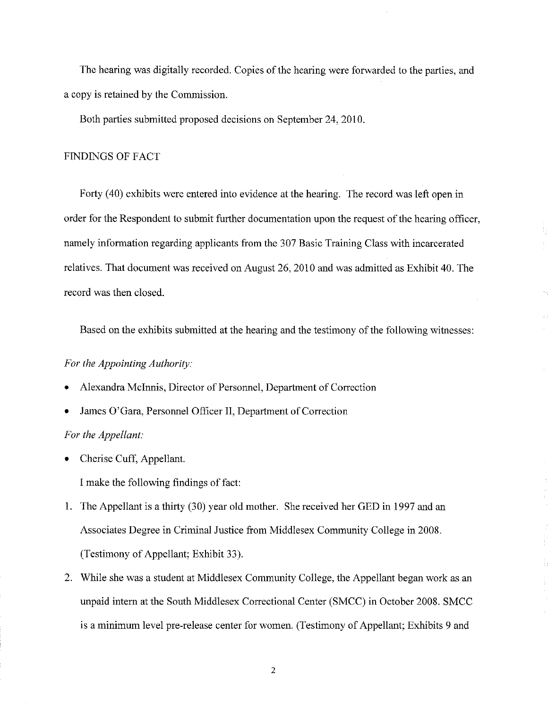The hearing was digitally recorded. Copies of the hearing were forwarded to the parties, and a copy is retained by the Commission.

Both parties submitted proposed decisions on September 24, 2010.

#### FINDINGS OF FACT

Forty (40) exhibits were entered into evidence at the hearing. The record was left open in order for the Respondent to submit further documentation upon the request of the hearing officer, namely information regarding applicants from the 307 Basic Training Class with incarcerated relatives. That document was received on August 26, 2010 and was admitted as Exhibit 40. The record was then closed.

Based on the exhibits submitted at the hearing and the testimony of the following witnesses:

## *For the Appointing Authority:*

- Alexandra Mclnnis, Director of Personnel, Department of Correction
- James O'Gara, Personnel Officer II, Department of Correction

#### *For the Appellant:*

• Cherise Cuff, Appellant.

I make the following findings of fact:

- 1. The Appellant is a thirty (30) year old mother. She received her GED in 1997 and an Associates Degree in Criminal Justice from Middlesex Community College in 2008. (Testimony of Appellant; Exhibit 33).
- 2. While she was a student at Middlesex Community College, the Appellant began work as an unpaid intern at the South Middlesex Correctional Center (SMCC) in October 2008. SMCC is a minimum level pre-release center for women. (Testimony of Appellant; Exhibits 9 and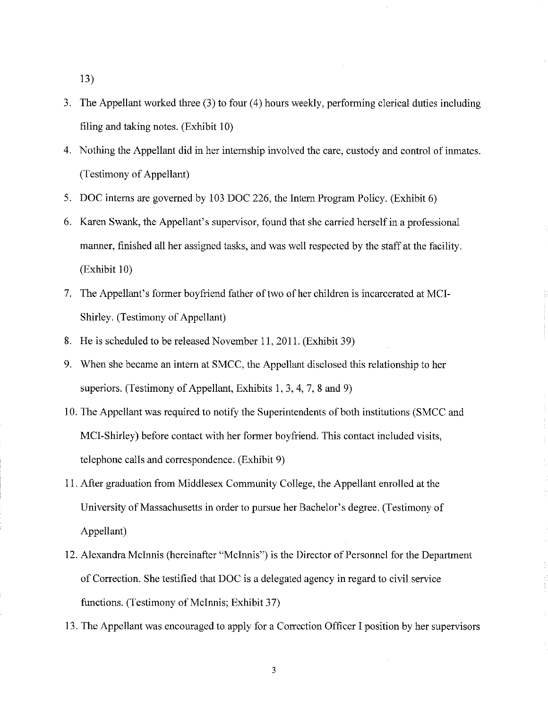13)

- 3. The Appellant worked three (3) to four (4) hours weekly, performing clerical duties including filing and taking notes. (Exhibit 10)
- 4. Nothing the Appellant did in her internship involved the care, custody and control of inmates. (Testimony of Appellant)
- 5. DOC interns are governed by 103 DOC 226, the Intern Program Policy. (Exhibit 6)
- 6. Karen Swank, the Appellant's supervisor, found that she carried herself in a professional manner, finished all her assigned tasks, and was well respected by the staff at the facility. (Exhibit 10)
- 7. The Appellant's former boyfriend father of two of her children is incarcerated at MCI-Shirley. (Testimony of Appellant)
- 8. He is scheduled to be released November 11, 2011. (Exhibit 39)
- 9. When she became an intern at SMCC, the Appellant disclosed this relationship to her superiors. (Testimony of Appellant, Exhibits I, 3, 4, 7, 8 and 9)
- 10. The Appellant was required to notify the Superintendents of both institutions (SMCC and MCI-Shirley) before contact with her former boyfriend. This contact included visits, telephone calls and correspondence. (Exhibit 9)
- 11. After graduation from Middlesex Community College, the Appellant emolled at the University of Massachusetts in order to pursue her Bachelor's degree. (Testimony of Appellant)
- 12. Alexandra Mcinnis (hereinafter "Mcinnis") is the Director of Personnel for the Department of Correction. She testified that DOC is a delegated agency in regard to civil service functions. (Testimony of Mcinnis; Exhibit 37)
- 13. The Appellant was encouraged to apply for a Correction Officer I position by her supervisors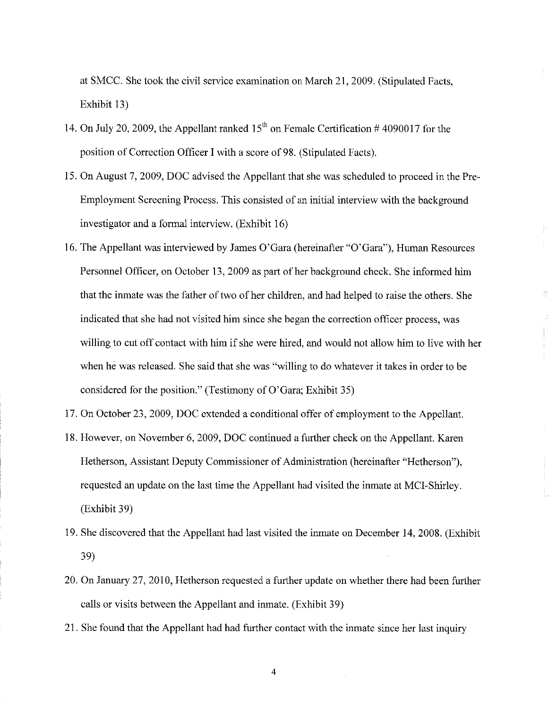at SMCC. She took the civil service examination on March 21, 2009. (Stipulated Facts, Exhibit 13)

- 14. On July 20, 2009, the Appellant ranked  $15<sup>th</sup>$  on Female Certification # 4090017 for the position of Correction Officer I with a score of 98. (Stipulated Facts).
- 15. On August 7, 2009, DOC advised the Appellant that she was scheduled to proceed in the Pre-Employment Screening Process. This consisted of an initial interview with the background investigator and a formal interview. (Exhibit 16)
- 16. The Appellant was interviewed by James O'Gara (hereinafter "O'Gara"), Human Resources Personnel Officer, on October 13, 2009 as part of her background check. She informed him that the inmate was the father of two of her children, and had helped to raise the others. She indicated that she had not visited him since she began the correction officer process, was willing to cut off contact with him if she were hired, and would not allow him to live with her when he was released. She said that she was "willing to do whatever it takes in order to be considered for the position." (Testimony of O'Gara; Exhibit 35)
- 17. On October 23, 2009, DOC extended a conditional offer of employment to the Appellant.
- 18. However, on November 6, 2009, DOC continued a further check on the Appellant. Karen Hetherson, Assistant Deputy Commissioner of Administration (hereinafter "Hetherson"), requested an update on the last time the Appellant had visited the inmate at MCI-Shirley. (Exhibit 39)
- 19. She discovered that the Appellant had last visited the inmate on December 14, 2008. (Exhibit 39)
- 20. On January 27, 2010, Hetherson requested a further update on whether there had been further calls or visits between the Appellant and inmate. (Exhibit 39)
- 21. She found that the Appellant had had further contact with the inmate since her last inquiry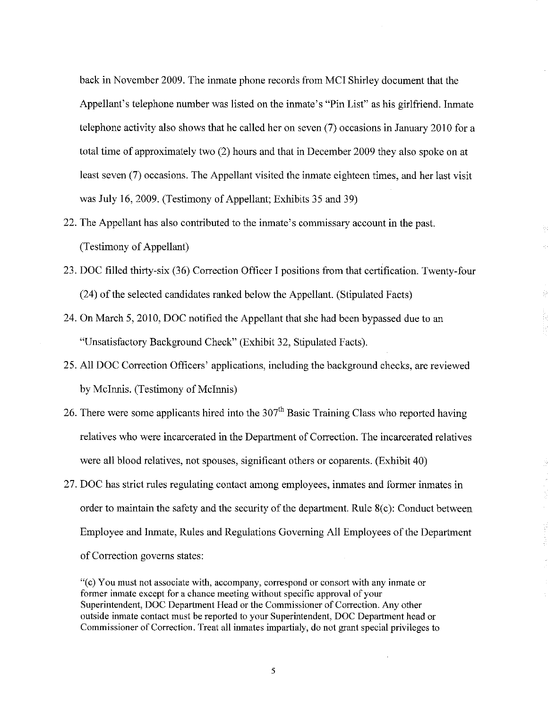back in November 2009. The imnate phone records from MCI Shirley document that the Appellant's telephone number was listed on the imnate's "Pin List" as his girlfriend. lmnate telephone activity also shows that he called her on seven (7) occasions in January 2010 for a total time of approximately two (2) hours and that in December 2009 they also spoke on at least seven (7) occasions. The Appellant visited the inmate eighteen times, and her last visit was July 16, 2009. (Testimony of Appellant; Exhibits 35 and 39)

- 22. The Appellant has also contributed to the imnate's commissary account in the past. (Testimony of Appellant)
- 23. DOC filled thirty-six (36) Correction Officer I positions from that certification. Twenty-four (24) of the selected candidates ranked below the Appellant. (Stipulated Facts)
- 24. On March 5, 2010, DOC notified the Appellant that she had been bypassed due to an "Unsatisfactory Background Check" (Exhibit 32, Stipulated Facts).
- 25. All DOC Correction Officers' applications, including the background checks, are reviewed by McInnis. (Testimony of McInnis)
- 26. There were some applicants hired into the  $307<sup>th</sup>$  Basic Training Class who reported having relatives who were incarcerated in the Department of Correction. The incarcerated relatives were all blood relatives, not spouses, significant others or coparents. (Exhibit 40)
- 27. DOC has strict rules regulating contact among employees, imnates and former inmates in order to maintain the safety and the security of the department. Rule  $8(c)$ : Conduct between Employee and Imnate, Rules and Regulations Governing All Employees of the Department of Correction governs states:

"( c) You must not associate with, accompany, correspond or consort with any inmate or former inmate except for a chance meeting without specific approval of your Superintendent, DOC Department Head or the Commissioner of Correction. Any other outside inmate contact must be reported to your Superintendent, DOC Department head or Commissioner of Correction. Treat all inmates impartialy, do not grant special privileges to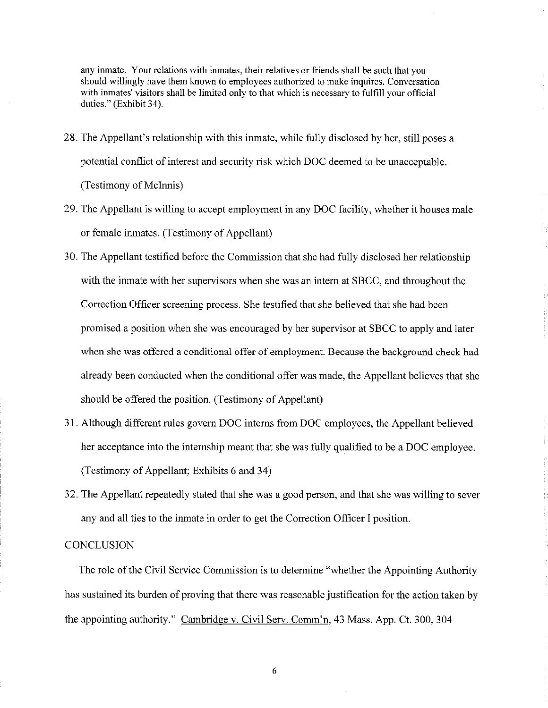any inmate. Your relations with inmates, their relatives or friends shall be such that you should willingly have them known to employees authorized to make inquires. Conversation with inmates' visitors shall be limited only to that which is necessary to fulfill your official duties." (Exhibit 34).

- 28. The Appellant's relationship with this inmate, while fully disclosed by her, still poses a potential conflict of interest and security risk which DOC deemed to be unacceptable. (Testimony of McInnis)
- 29. The Appellant is willing to accept employment in any DOC facility, whether it houses male or female inmates. (Testimony of Appellant)
- 30. The Appellant testified before the Commission that she had fully disclosed her relationship with the inmate with her supervisors when she was an intern at SBCC, and throughout the Correction Officer screening process. She testified that she believed that she had been promised a position when she was encouraged by her supervisor at SBCC to apply and later when she was offered a conditional offer of employment. Because the background check had already been conducted when the conditional offer was made, the Appellant believes that she should be offered the position. (Testimony of Appellant)
- 31. Although different rules govern DOC interns from DOC employees, the Appellant believed her acceptance into the internship meant that she was fully qualified to be a DOC employee. (Testimony of Appellant; Exhibits 6 and 34)
- 32. The Appellant repeatedly stated that she was a good person, and that she was willing to sever any and all ties to the inmate in order to get the Correction Officer I position.

### **CONCLUSION**

The role of the Civil Service Commission is to determine "whether the Appointing Authority has sustained its burden of proving that there was reasonable justification for the action taken by the appointing authority." Cambridge v. Civil Serv. Comm'n, 43 Mass. App. Ct. 300, 304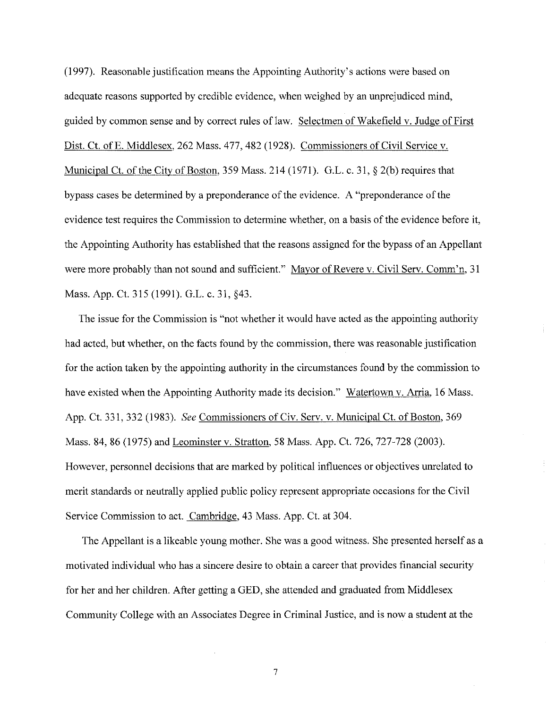(I 997). Reasonable justification means the Appointing Authority's actions were based on adequate reasons supported by credible evidence, when weighed by an unprejudiced mind, guided by common sense and by correct rules of law. Selectmen of Wakefield v. Judge of First Dist. Ct. of E. Middlesex, 262 Mass. 477, 482 (1928). Commissioners of Civil Service v. Municipal Ct. of the City of Boston, 359 Mass. 214 (1971). G.L. c. 31, § 2(b) requires that bypass cases be determined by a preponderance of the evidence. A "preponderance of the evidence test requires the Commission to determine whether, on a basis of the evidence before it, the Appointing Authority has established that the reasons assigned for the bypass of an Appellant were more probably than not sound and sufficient." Mayor of Revere v. Civil Serv. Comm'n, 31 Mass. App. Ct. 315 (1991). G.L. c. 31, §43.

The issue for the Commission is "not whether it would have acted as the appointing authority had acted, but whether, on the facts found by the commission, there was reasonable justification for the action taken by the appointing authority in the circumstances found by the commission to have existed when the Appointing Authority made its decision." Watertown v. Arria, 16 Mass. App. Ct. 331, 332 (1983). *See* Commissioners of Civ. Serv. v. Municipal Ct. of Boston, 369 Mass. 84, 86 (1975) and Leominster v. Stratton, 58 Mass. App. Ct. 726, 727-728 (2003). However, personnel decisions that are marked by political influences or objectives unrelated to merit standards or neutrally applied public policy represent appropriate occasions for the Civil Service Commission to act. Cambridge, 43 Mass. App. Ct. at 304.

The Appellant is a likeable young mother. She was a good witness. She presented herself as a motivated individual who has a sincere desire to obtain a career that provides financial security for her and her children. After getting a GED, she attended and graduated from Middlesex Community College with an Associates Degree in Criminal Justice, and is now a student at the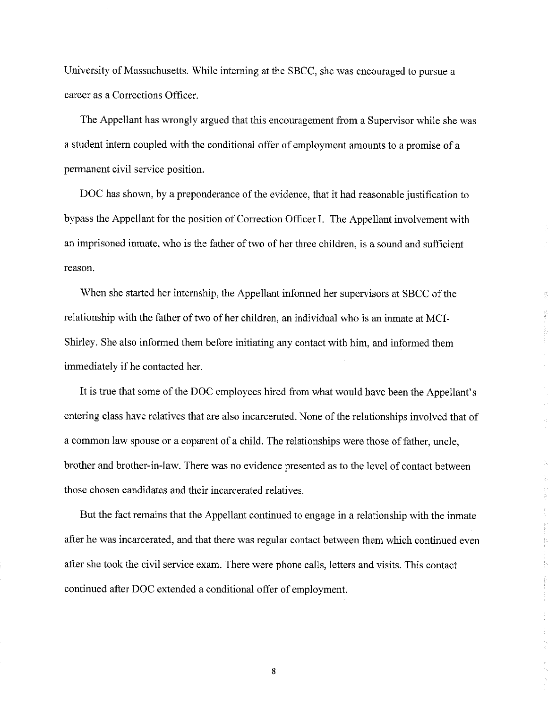University of Massachusetts. While interning at the SBCC, she was encouraged to pursue a career as a Corrections Officer.

The Appellant has wrongly argued that this encouragement from a Supervisor while she was a student intern coupled with the conditional offer of employment amounts to a promise of a permanent civil service position.

DOC has shown, by a preponderance of the evidence, that it had reasonable justification to bypass the Appellant for the position of Correction Officer I. The Appellant involvement with an imprisoned inmate, who is the father of two of her three children, is a sound and sufficient reason.

When she started her internship, the Appellant informed her supervisors at SBCC of the relationship with the father of two of her children, an individual who is an inmate at MCI-Shirley. She also informed them before initiating any contact with him, and informed them immediately if he contacted her.

It is true that some of the DOC employees hired from what would have been the Appellant's entering class have relatives that are also incarcerated. None of the relationships involved that of a common law spouse or a coparent of a child. The relationships were those of father, uncle, brother and brother-in-law. There was no evidence presented as to the level of contact between those chosen candidates and their incarcerated relatives.

But the fact remains that the Appellant continued to engage in a relationship with the inmate after he was incarcerated, and that there was regular contact between them which continued even after she took the civil service exam. There were phone calls, letters and visits. This contact continued after DOC extended a conditional offer of employment.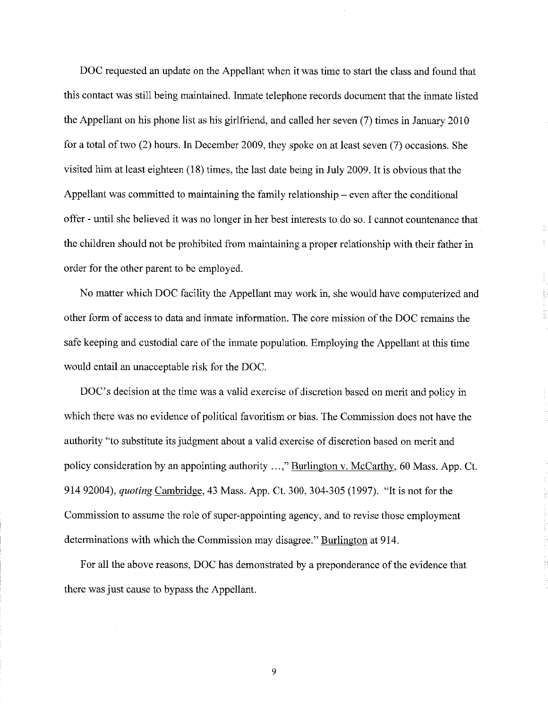DOC requested an update on the Appellant when it was time to start the class and found that this contact was still being maintained. Inmate telephone records document that the inmate listed the Appellant on his phone list as his girlfriend, and called her seven (7) times in January 2010 for a total of two (2) hours. In December 2009, they spoke on at least seven (7) occasions. She visited him at least eighteen (18) times, the last date being in July 2009. It is obvious that the Appellant was committed to maintaining the family relationship – even after the conditional offer - until she believed it was no longer in her best interests to do so. I cannot countenance that the children should not be prohibited from maintaining a proper relationship with their father in order for the other parent to be employed.

No matter which DOC facility the Appellant may work in, she would have computerized and other form of access to data and inmate information. The core mission of the DOC remains the safe keeping and custodial care of the inmate population. Employing the Appellant at this time would entail an unacceptable risk for the DOC.

DOC's decision at the time was a valid exercise of discretion based on merit and policy in which there was no evidence of political favoritism or bias. The Commission does not have the authority "to substitute its judgment about a valid exercise of discretion based on merit and policy consideration by an appointing authority ...," Burlington v. McCarthy, 60 Mass. App. Ct. 914 92004), *quoting* Cambridge, 43 Mass. App. Ct. 300, 304-305 (1997). "It is not for the Commission to assume the role of super-appointing agency, and to revise those employment determinations with which the Commission may disagree." Burlington at 914.

For all the above reasons, DOC has demonstrated by a preponderance of the evidence that there was just cause to bypass the Appellant.